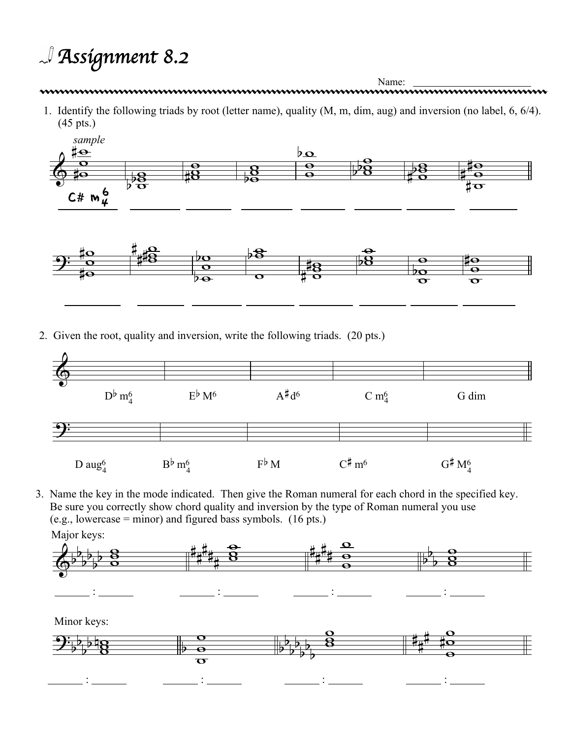## *Assignment 8.2*

Name: Name: 2000 Name: 2000 Name: 2000 Name: 2000 Name: 2000 Name: 2000 Name: 2000 Name: 2000 Name: 2000 Name: 2000 Name: 2000 Name: 2000 Name: 2000 Name: 2000 Name: 2000 Name: 2000 Name: 2000 Name: 2000 Name: 2000 Name: 2

1. Identify the following triads by root (letter name), quality (M, m, dim, aug) and inversion (no label, 6, 6/4). (45 pts.)



2. Given the root, quality and inversion, write the following triads. (20 pts.)



3. Name the key in the mode indicated. Then give the Roman numeral for each chord in the specified key. Be sure you correctly show chord quality and inversion by the type of Roman numeral you use (e.g., lowercase = minor) and figured bass symbols. (16 pts.) Major keys:  $\overline{\mathbf{o}}$